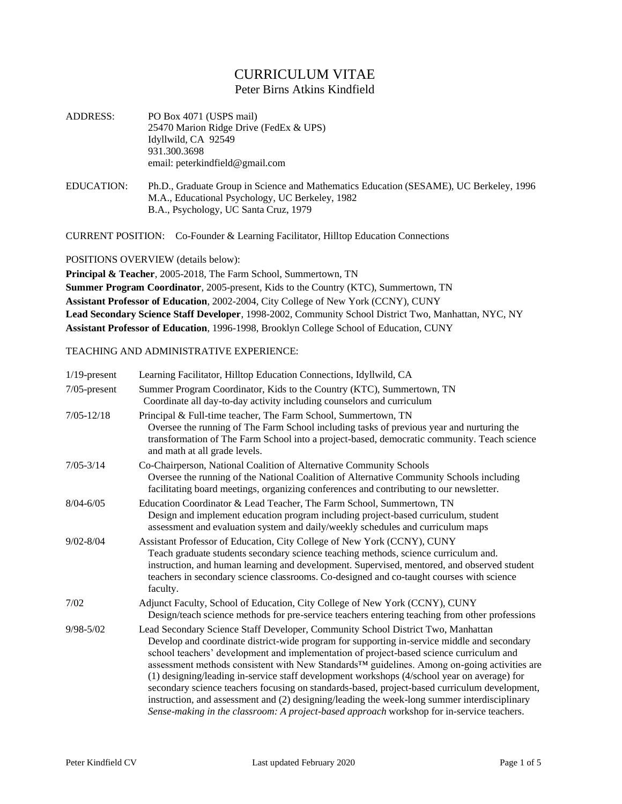## CURRICULUM VITAE Peter Birns Atkins Kindfield

- ADDRESS: PO Box 4071 (USPS mail) 25470 Marion Ridge Drive (FedEx & UPS) Idyllwild, CA 92549 931.300.3698 email: peterkindfield@gmail.com
- EDUCATION: Ph.D., Graduate Group in Science and Mathematics Education (SESAME), UC Berkeley, 1996 M.A., Educational Psychology, UC Berkeley, 1982 B.A., Psychology, UC Santa Cruz, 1979

CURRENT POSITION: Co-Founder & Learning Facilitator, Hilltop Education Connections

POSITIONS OVERVIEW (details below):

**Principal & Teacher**, 2005-2018, The Farm School, Summertown, TN **Summer Program Coordinator**, 2005-present, Kids to the Country (KTC), Summertown, TN **Assistant Professor of Education**, 2002-2004, City College of New York (CCNY), CUNY **Lead Secondary Science Staff Developer**, 1998-2002, Community School District Two, Manhattan, NYC, NY **Assistant Professor of Education**, 1996-1998, Brooklyn College School of Education, CUNY

## TEACHING AND ADMINISTRATIVE EXPERIENCE:

| $1/19$ -present | Learning Facilitator, Hilltop Education Connections, Idyllwild, CA                                                                                                                                                                                                                                                                                                                                                                                                                                                                                                                                                                                                                                                                                                     |
|-----------------|------------------------------------------------------------------------------------------------------------------------------------------------------------------------------------------------------------------------------------------------------------------------------------------------------------------------------------------------------------------------------------------------------------------------------------------------------------------------------------------------------------------------------------------------------------------------------------------------------------------------------------------------------------------------------------------------------------------------------------------------------------------------|
| $7/05$ -present | Summer Program Coordinator, Kids to the Country (KTC), Summertown, TN<br>Coordinate all day-to-day activity including counselors and curriculum                                                                                                                                                                                                                                                                                                                                                                                                                                                                                                                                                                                                                        |
| $7/05 - 12/18$  | Principal & Full-time teacher, The Farm School, Summertown, TN<br>Oversee the running of The Farm School including tasks of previous year and nurturing the<br>transformation of The Farm School into a project-based, democratic community. Teach science<br>and math at all grade levels.                                                                                                                                                                                                                                                                                                                                                                                                                                                                            |
| $7/05 - 3/14$   | Co-Chairperson, National Coalition of Alternative Community Schools<br>Oversee the running of the National Coalition of Alternative Community Schools including<br>facilitating board meetings, organizing conferences and contributing to our newsletter.                                                                                                                                                                                                                                                                                                                                                                                                                                                                                                             |
| $8/04 - 6/05$   | Education Coordinator & Lead Teacher, The Farm School, Summertown, TN<br>Design and implement education program including project-based curriculum, student<br>assessment and evaluation system and daily/weekly schedules and curriculum maps                                                                                                                                                                                                                                                                                                                                                                                                                                                                                                                         |
| $9/02 - 8/04$   | Assistant Professor of Education, City College of New York (CCNY), CUNY<br>Teach graduate students secondary science teaching methods, science curriculum and.<br>instruction, and human learning and development. Supervised, mentored, and observed student<br>teachers in secondary science classrooms. Co-designed and co-taught courses with science<br>faculty.                                                                                                                                                                                                                                                                                                                                                                                                  |
| 7/02            | Adjunct Faculty, School of Education, City College of New York (CCNY), CUNY<br>Design/teach science methods for pre-service teachers entering teaching from other professions                                                                                                                                                                                                                                                                                                                                                                                                                                                                                                                                                                                          |
| $9/98 - 5/02$   | Lead Secondary Science Staff Developer, Community School District Two, Manhattan<br>Develop and coordinate district-wide program for supporting in-service middle and secondary<br>school teachers' development and implementation of project-based science curriculum and<br>assessment methods consistent with New Standards™ guidelines. Among on-going activities are<br>(1) designing/leading in-service staff development workshops (4/school year on average) for<br>secondary science teachers focusing on standards-based, project-based curriculum development,<br>instruction, and assessment and (2) designing/leading the week-long summer interdisciplinary<br>Sense-making in the classroom: A project-based approach workshop for in-service teachers. |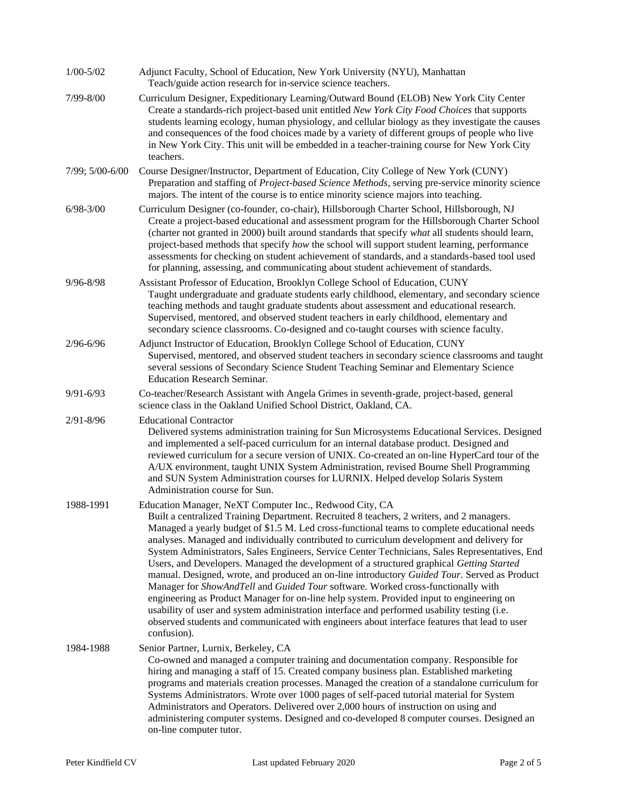| $1/00 - 5/02$   | Adjunct Faculty, School of Education, New York University (NYU), Manhattan<br>Teach/guide action research for in-service science teachers.                                                                                                                                                                                                                                                                                                                                                                                                                                                                                                                                                                                                                                                                                                                                                                                                                                                                                                    |
|-----------------|-----------------------------------------------------------------------------------------------------------------------------------------------------------------------------------------------------------------------------------------------------------------------------------------------------------------------------------------------------------------------------------------------------------------------------------------------------------------------------------------------------------------------------------------------------------------------------------------------------------------------------------------------------------------------------------------------------------------------------------------------------------------------------------------------------------------------------------------------------------------------------------------------------------------------------------------------------------------------------------------------------------------------------------------------|
| 7/99-8/00       | Curriculum Designer, Expeditionary Learning/Outward Bound (ELOB) New York City Center<br>Create a standards-rich project-based unit entitled New York City Food Choices that supports<br>students learning ecology, human physiology, and cellular biology as they investigate the causes<br>and consequences of the food choices made by a variety of different groups of people who live<br>in New York City. This unit will be embedded in a teacher-training course for New York City<br>teachers.                                                                                                                                                                                                                                                                                                                                                                                                                                                                                                                                        |
| 7/99; 5/00-6/00 | Course Designer/Instructor, Department of Education, City College of New York (CUNY)<br>Preparation and staffing of Project-based Science Methods, serving pre-service minority science<br>majors. The intent of the course is to entice minority science majors into teaching.                                                                                                                                                                                                                                                                                                                                                                                                                                                                                                                                                                                                                                                                                                                                                               |
| $6/98 - 3/00$   | Curriculum Designer (co-founder, co-chair), Hillsborough Charter School, Hillsborough, NJ<br>Create a project-based educational and assessment program for the Hillsborough Charter School<br>(charter not granted in 2000) built around standards that specify what all students should learn,<br>project-based methods that specify how the school will support student learning, performance<br>assessments for checking on student achievement of standards, and a standards-based tool used<br>for planning, assessing, and communicating about student achievement of standards.                                                                                                                                                                                                                                                                                                                                                                                                                                                        |
| $9/96 - 8/98$   | Assistant Professor of Education, Brooklyn College School of Education, CUNY<br>Taught undergraduate and graduate students early childhood, elementary, and secondary science<br>teaching methods and taught graduate students about assessment and educational research.<br>Supervised, mentored, and observed student teachers in early childhood, elementary and<br>secondary science classrooms. Co-designed and co-taught courses with science faculty.                                                                                                                                                                                                                                                                                                                                                                                                                                                                                                                                                                                  |
| $2/96 - 6/96$   | Adjunct Instructor of Education, Brooklyn College School of Education, CUNY<br>Supervised, mentored, and observed student teachers in secondary science classrooms and taught<br>several sessions of Secondary Science Student Teaching Seminar and Elementary Science<br><b>Education Research Seminar.</b>                                                                                                                                                                                                                                                                                                                                                                                                                                                                                                                                                                                                                                                                                                                                  |
| $9/91 - 6/93$   | Co-teacher/Research Assistant with Angela Grimes in seventh-grade, project-based, general<br>science class in the Oakland Unified School District, Oakland, CA.                                                                                                                                                                                                                                                                                                                                                                                                                                                                                                                                                                                                                                                                                                                                                                                                                                                                               |
| $2/91 - 8/96$   | <b>Educational Contractor</b><br>Delivered systems administration training for Sun Microsystems Educational Services. Designed<br>and implemented a self-paced curriculum for an internal database product. Designed and<br>reviewed curriculum for a secure version of UNIX. Co-created an on-line HyperCard tour of the<br>A/UX environment, taught UNIX System Administration, revised Bourne Shell Programming<br>and SUN System Administration courses for LURNIX. Helped develop Solaris System<br>Administration course for Sun.                                                                                                                                                                                                                                                                                                                                                                                                                                                                                                       |
| 1988-1991       | Education Manager, NeXT Computer Inc., Redwood City, CA<br>Built a centralized Training Department. Recruited 8 teachers, 2 writers, and 2 managers.<br>Managed a yearly budget of \$1.5 M. Led cross-functional teams to complete educational needs<br>analyses. Managed and individually contributed to curriculum development and delivery for<br>System Administrators, Sales Engineers, Service Center Technicians, Sales Representatives, End<br>Users, and Developers. Managed the development of a structured graphical Getting Started<br>manual. Designed, wrote, and produced an on-line introductory Guided Tour. Served as Product<br>Manager for ShowAndTell and Guided Tour software. Worked cross-functionally with<br>engineering as Product Manager for on-line help system. Provided input to engineering on<br>usability of user and system administration interface and performed usability testing (i.e.<br>observed students and communicated with engineers about interface features that lead to user<br>confusion). |
| 1984-1988       | Senior Partner, Lurnix, Berkeley, CA<br>Co-owned and managed a computer training and documentation company. Responsible for<br>hiring and managing a staff of 15. Created company business plan. Established marketing<br>programs and materials creation processes. Managed the creation of a standalone curriculum for<br>Systems Administrators. Wrote over 1000 pages of self-paced tutorial material for System<br>Administrators and Operators. Delivered over 2,000 hours of instruction on using and<br>administering computer systems. Designed and co-developed 8 computer courses. Designed an<br>on-line computer tutor.                                                                                                                                                                                                                                                                                                                                                                                                          |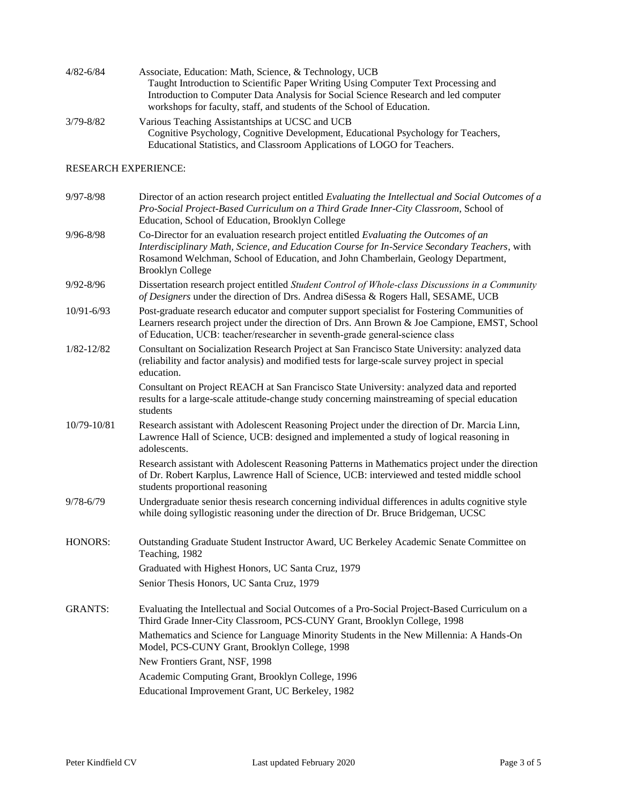| 4/82-6/84 | Associate, Education: Math, Science, & Technology, UCB                                                                                                        |
|-----------|---------------------------------------------------------------------------------------------------------------------------------------------------------------|
|           | Taught Introduction to Scientific Paper Writing Using Computer Text Processing and                                                                            |
|           | Introduction to Computer Data Analysis for Social Science Research and led computer<br>workshops for faculty, staff, and students of the School of Education. |
| 3/79-8/82 | Various Teaching Assistantships at UCSC and UCB                                                                                                               |
|           | Cognitive Psychology Cognitive Development Educational Psychology for Teachers                                                                                |

Cognitive Psychology, Cognitive Development, Educational Psychology for Teachers, Educational Statistics, and Classroom Applications of LOGO for Teachers.

## RESEARCH EXPERIENCE:

| Director of an action research project entitled Evaluating the Intellectual and Social Outcomes of a                                                                                                                                                                                                   |
|--------------------------------------------------------------------------------------------------------------------------------------------------------------------------------------------------------------------------------------------------------------------------------------------------------|
| Pro-Social Project-Based Curriculum on a Third Grade Inner-City Classroom, School of<br>Education, School of Education, Brooklyn College                                                                                                                                                               |
| Co-Director for an evaluation research project entitled Evaluating the Outcomes of an<br>Interdisciplinary Math, Science, and Education Course for In-Service Secondary Teachers, with<br>Rosamond Welchman, School of Education, and John Chamberlain, Geology Department,<br><b>Brooklyn College</b> |
| Dissertation research project entitled Student Control of Whole-class Discussions in a Community<br>of Designers under the direction of Drs. Andrea diSessa & Rogers Hall, SESAME, UCB                                                                                                                 |
| Post-graduate research educator and computer support specialist for Fostering Communities of<br>Learners research project under the direction of Drs. Ann Brown & Joe Campione, EMST, School<br>of Education, UCB: teacher/researcher in seventh-grade general-science class                           |
| Consultant on Socialization Research Project at San Francisco State University: analyzed data<br>(reliability and factor analysis) and modified tests for large-scale survey project in special<br>education.                                                                                          |
| Consultant on Project REACH at San Francisco State University: analyzed data and reported<br>results for a large-scale attitude-change study concerning mainstreaming of special education<br>students                                                                                                 |
| Research assistant with Adolescent Reasoning Project under the direction of Dr. Marcia Linn,<br>Lawrence Hall of Science, UCB: designed and implemented a study of logical reasoning in<br>adolescents.                                                                                                |
| Research assistant with Adolescent Reasoning Patterns in Mathematics project under the direction<br>of Dr. Robert Karplus, Lawrence Hall of Science, UCB: interviewed and tested middle school<br>students proportional reasoning                                                                      |
| Undergraduate senior thesis research concerning individual differences in adults cognitive style<br>while doing syllogistic reasoning under the direction of Dr. Bruce Bridgeman, UCSC                                                                                                                 |
| Outstanding Graduate Student Instructor Award, UC Berkeley Academic Senate Committee on<br>Teaching, 1982                                                                                                                                                                                              |
| Graduated with Highest Honors, UC Santa Cruz, 1979                                                                                                                                                                                                                                                     |
| Senior Thesis Honors, UC Santa Cruz, 1979                                                                                                                                                                                                                                                              |
| Evaluating the Intellectual and Social Outcomes of a Pro-Social Project-Based Curriculum on a<br>Third Grade Inner-City Classroom, PCS-CUNY Grant, Brooklyn College, 1998                                                                                                                              |
| Mathematics and Science for Language Minority Students in the New Millennia: A Hands-On<br>Model, PCS-CUNY Grant, Brooklyn College, 1998                                                                                                                                                               |
| New Frontiers Grant, NSF, 1998                                                                                                                                                                                                                                                                         |
| Academic Computing Grant, Brooklyn College, 1996                                                                                                                                                                                                                                                       |
| Educational Improvement Grant, UC Berkeley, 1982                                                                                                                                                                                                                                                       |
|                                                                                                                                                                                                                                                                                                        |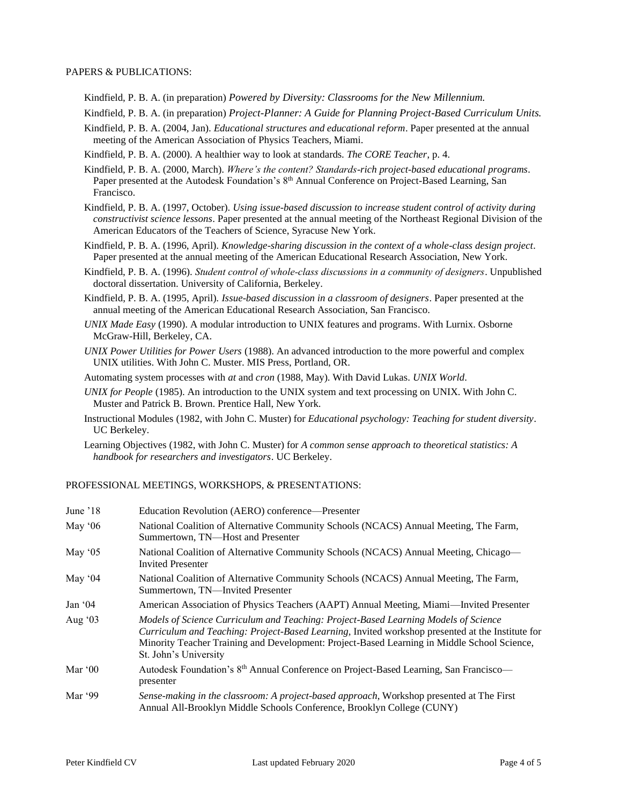## PAPERS & PUBLICATIONS:

- Kindfield, P. B. A. (in preparation) *Powered by Diversity: Classrooms for the New Millennium.*
- Kindfield, P. B. A. (in preparation) *Project-Planner: A Guide for Planning Project-Based Curriculum Units.*
- Kindfield, P. B. A. (2004, Jan). *Educational structures and educational reform*. Paper presented at the annual meeting of the American Association of Physics Teachers, Miami.
- Kindfield, P. B. A. (2000). A healthier way to look at standards. *The CORE Teacher*, p. 4.
- Kindfield, P. B. A. (2000, March). *Where's the content? Standards-rich project-based educational programs*. Paper presented at the Autodesk Foundation's 8<sup>th</sup> Annual Conference on Project-Based Learning, San Francisco.
- Kindfield, P. B. A. (1997, October). *Using issue-based discussion to increase student control of activity during constructivist science lessons*. Paper presented at the annual meeting of the Northeast Regional Division of the American Educators of the Teachers of Science, Syracuse New York.
- Kindfield, P. B. A. (1996, April). *Knowledge-sharing discussion in the context of a whole-class design project*. Paper presented at the annual meeting of the American Educational Research Association, New York.
- Kindfield, P. B. A. (1996). *Student control of whole‑class discussions in a community of designers*. Unpublished doctoral dissertation. University of California, Berkeley.
- Kindfield, P. B. A. (1995, April). *Issue-based discussion in a classroom of designers*. Paper presented at the annual meeting of the American Educational Research Association, San Francisco.
- *UNIX Made Easy* (1990). A modular introduction to UNIX features and programs. With Lurnix. Osborne McGraw-Hill, Berkeley, CA.
- *UNIX Power Utilities for Power Users* (1988). An advanced introduction to the more powerful and complex UNIX utilities. With John C. Muster. MIS Press, Portland, OR.

Automating system processes with *at* and *cron* (1988, May). With David Lukas. *UNIX World*.

- *UNIX for People* (1985). An introduction to the UNIX system and text processing on UNIX. With John C. Muster and Patrick B. Brown. Prentice Hall, New York.
- Instructional Modules (1982, with John C. Muster) for *Educational psychology: Teaching for student diversity*. UC Berkeley.
- Learning Objectives (1982, with John C. Muster) for *A common sense approach to theoretical statistics: A handbook for researchers and investigators*. UC Berkeley.

PROFESSIONAL MEETINGS, WORKSHOPS, & PRESENTATIONS:

| June '18 | Education Revolution (AERO) conference—Presenter                                                                                                                                                                                                                                                                |
|----------|-----------------------------------------------------------------------------------------------------------------------------------------------------------------------------------------------------------------------------------------------------------------------------------------------------------------|
| May $06$ | National Coalition of Alternative Community Schools (NCACS) Annual Meeting, The Farm,<br>Summertown, TN-Host and Presenter                                                                                                                                                                                      |
| May $05$ | National Coalition of Alternative Community Schools (NCACS) Annual Meeting, Chicago—<br><b>Invited Presenter</b>                                                                                                                                                                                                |
| May $04$ | National Coalition of Alternative Community Schools (NCACS) Annual Meeting, The Farm,<br>Summertown, TN—Invited Presenter                                                                                                                                                                                       |
| Jan $04$ | American Association of Physics Teachers (AAPT) Annual Meeting, Miami—Invited Presenter                                                                                                                                                                                                                         |
| Aug $03$ | Models of Science Curriculum and Teaching: Project-Based Learning Models of Science<br>Curriculum and Teaching: Project-Based Learning, Invited workshop presented at the Institute for<br>Minority Teacher Training and Development: Project-Based Learning in Middle School Science,<br>St. John's University |
| Mar $00$ | Autodesk Foundation's 8 <sup>th</sup> Annual Conference on Project-Based Learning, San Francisco—<br>presenter                                                                                                                                                                                                  |
| Mar '99  | Sense-making in the classroom: A project-based approach, Workshop presented at The First<br>Annual All-Brooklyn Middle Schools Conference, Brooklyn College (CUNY)                                                                                                                                              |